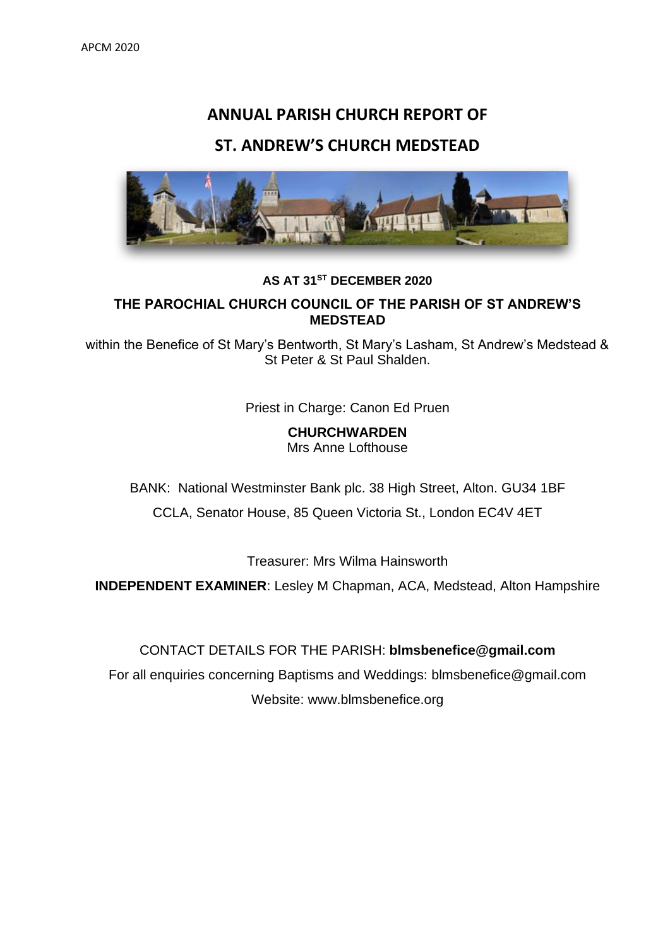# **ANNUAL PARISH CHURCH REPORT OF**

### **ST. ANDREW'S CHURCH MEDSTEAD**



### **AS AT 31ST DECEMBER 2020**

### **THE PAROCHIAL CHURCH COUNCIL OF THE PARISH OF ST ANDREW'S MEDSTEAD**

within the Benefice of St Mary's Bentworth, St Mary's Lasham, St Andrew's Medstead & St Peter & St Paul Shalden.

Priest in Charge: Canon Ed Pruen

**CHURCHWARDEN** Mrs Anne Lofthouse

BANK: National Westminster Bank plc. 38 High Street, Alton. GU34 1BF

CCLA, Senator House, 85 Queen Victoria St., London EC4V 4ET

Treasurer: Mrs Wilma Hainsworth

**INDEPENDENT EXAMINER**: Lesley M Chapman, ACA, Medstead, Alton Hampshire

### CONTACT DETAILS FOR THE PARISH: **[blmsbenefice@gmail.com](mailto:blmsbenefice@gmail.com)**

For all enquiries concerning Baptisms and Weddings: [blmsbenefice@gmail.com](mailto:blmsbenefice@gmail.com) Website: www.blmsbenefice.org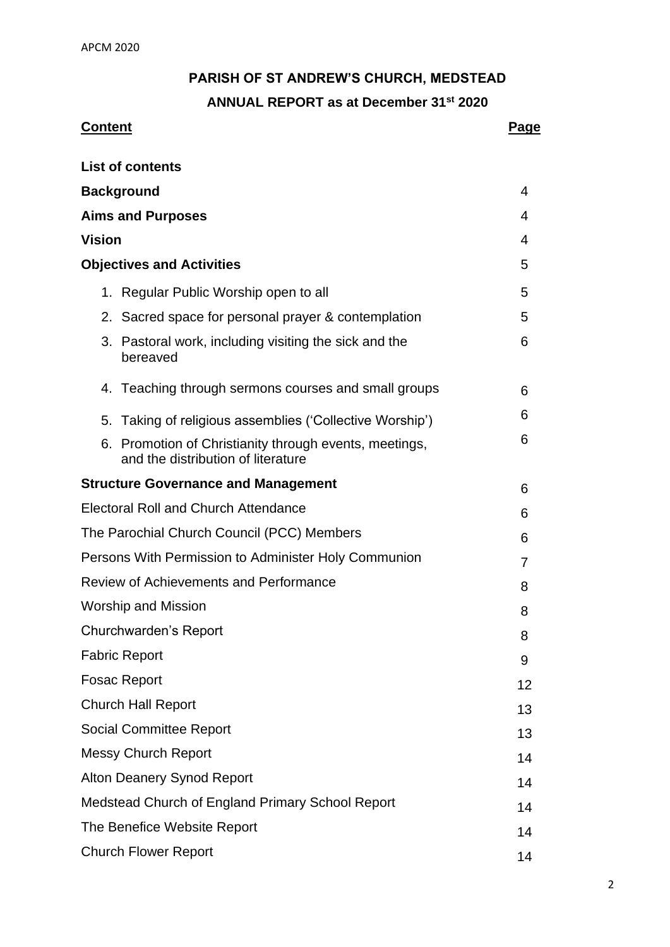### **PARISH OF ST ANDREW'S CHURCH, MEDSTEAD**

**ANNUAL REPORT as at December 31st 2020**

### **Content Page**

| <b>List of contents</b>                                                                      |    |
|----------------------------------------------------------------------------------------------|----|
| <b>Background</b>                                                                            | 4  |
| <b>Aims and Purposes</b>                                                                     | 4  |
| <b>Vision</b>                                                                                | 4  |
| <b>Objectives and Activities</b>                                                             | 5  |
| 1. Regular Public Worship open to all                                                        | 5  |
| 2. Sacred space for personal prayer & contemplation                                          | 5  |
| Pastoral work, including visiting the sick and the<br>3.<br>bereaved                         | 6  |
| 4. Teaching through sermons courses and small groups                                         | 6  |
| 5. Taking of religious assemblies ('Collective Worship')                                     | 6  |
| 6. Promotion of Christianity through events, meetings,<br>and the distribution of literature | 6  |
| <b>Structure Governance and Management</b>                                                   | 6  |
| <b>Electoral Roll and Church Attendance</b>                                                  | 6  |
| The Parochial Church Council (PCC) Members                                                   | 6  |
| Persons With Permission to Administer Holy Communion                                         | 7  |
| <b>Review of Achievements and Performance</b>                                                | 8  |
| <b>Worship and Mission</b>                                                                   | 8  |
| <b>Churchwarden's Report</b>                                                                 | 8  |
| <b>Fabric Report</b>                                                                         | 9  |
| <b>Fosac Report</b>                                                                          | 12 |
| <b>Church Hall Report</b>                                                                    | 13 |
| <b>Social Committee Report</b>                                                               | 13 |
| <b>Messy Church Report</b>                                                                   | 14 |
| <b>Alton Deanery Synod Report</b>                                                            | 14 |
| Medstead Church of England Primary School Report                                             | 14 |
| The Benefice Website Report                                                                  | 14 |
| <b>Church Flower Report</b>                                                                  | 14 |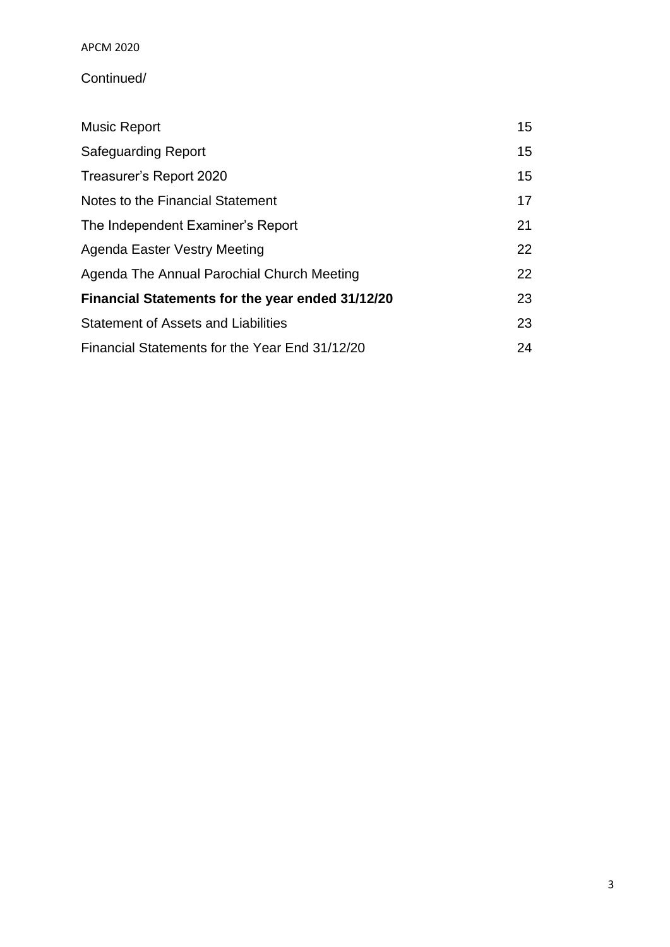APCM 2020

### Continued/

| <b>Music Report</b>                              | 15 <sub>1</sub> |
|--------------------------------------------------|-----------------|
| <b>Safeguarding Report</b>                       | 15              |
| Treasurer's Report 2020                          | 15              |
| Notes to the Financial Statement                 | 17              |
| The Independent Examiner's Report                | 21              |
| Agenda Easter Vestry Meeting                     | 22              |
| Agenda The Annual Parochial Church Meeting       | 22              |
| Financial Statements for the year ended 31/12/20 | 23              |
| <b>Statement of Assets and Liabilities</b>       | 23              |
| Financial Statements for the Year End 31/12/20   | 24              |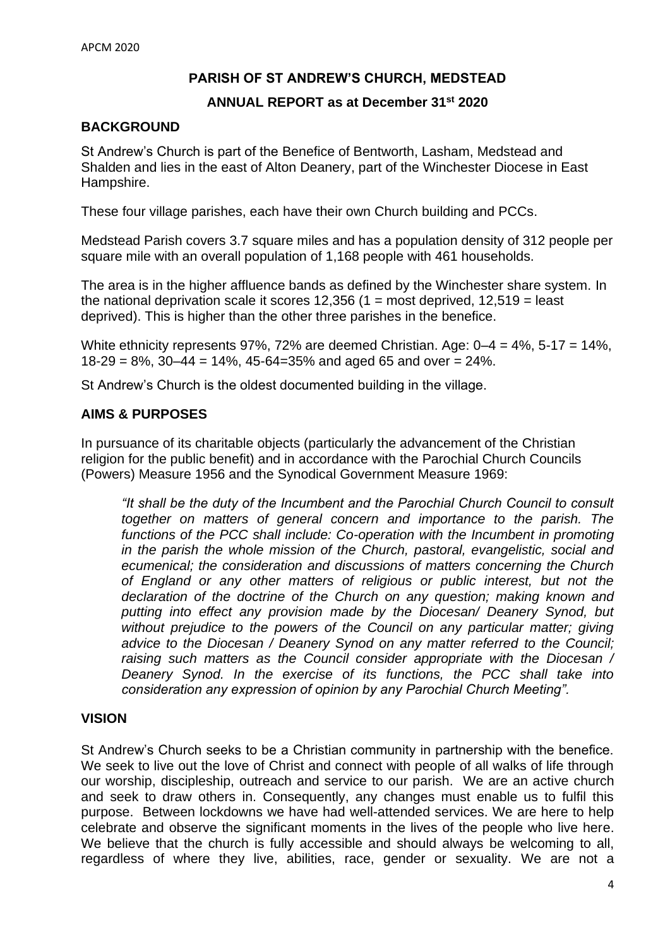### **PARISH OF ST ANDREW'S CHURCH, MEDSTEAD**

#### **ANNUAL REPORT as at December 31st 2020**

#### **BACKGROUND**

St Andrew's Church is part of the Benefice of Bentworth, Lasham, Medstead and Shalden and lies in the east of Alton Deanery, part of the Winchester Diocese in East Hampshire.

These four village parishes, each have their own Church building and PCCs.

Medstead Parish covers 3.7 square miles and has a population density of 312 people per square mile with an overall population of 1,168 people with 461 households.

The area is in the higher affluence bands as defined by the Winchester share system. In the national deprivation scale it scores  $12,356$  (1 = most deprived,  $12,519$  = least deprived). This is higher than the other three parishes in the benefice.

White ethnicity represents 97%, 72% are deemed Christian. Age: 0–4 = 4%, 5-17 = 14%,  $18-29 = 8\%, 30-44 = 14\%, 45-64=35\%$  and aged 65 and over = 24%.

St Andrew's Church is the oldest documented building in the village.

#### **AIMS & PURPOSES**

In pursuance of its charitable objects (particularly the advancement of the Christian religion for the public benefit) and in accordance with the Parochial Church Councils (Powers) Measure 1956 and the Synodical Government Measure 1969:

*"It shall be the duty of the Incumbent and the Parochial Church Council to consult together on matters of general concern and importance to the parish. The*  functions of the PCC shall include: Co-operation with the Incumbent in promoting *in the parish the whole mission of the Church, pastoral, evangelistic, social and ecumenical; the consideration and discussions of matters concerning the Church of England or any other matters of religious or public interest, but not the declaration of the doctrine of the Church on any question; making known and putting into effect any provision made by the Diocesan/ Deanery Synod, but*  without prejudice to the powers of the Council on any particular matter; giving *advice to the Diocesan / Deanery Synod on any matter referred to the Council; raising such matters as the Council consider appropriate with the Diocesan / Deanery Synod. In the exercise of its functions, the PCC shall take into consideration any expression of opinion by any Parochial Church Meeting".* 

### **VISION**

St Andrew's Church seeks to be a Christian community in partnership with the benefice. We seek to live out the love of Christ and connect with people of all walks of life through our worship, discipleship, outreach and service to our parish. We are an active church and seek to draw others in. Consequently, any changes must enable us to fulfil this purpose. Between lockdowns we have had well-attended services. We are here to help celebrate and observe the significant moments in the lives of the people who live here. We believe that the church is fully accessible and should always be welcoming to all. regardless of where they live, abilities, race, gender or sexuality. We are not a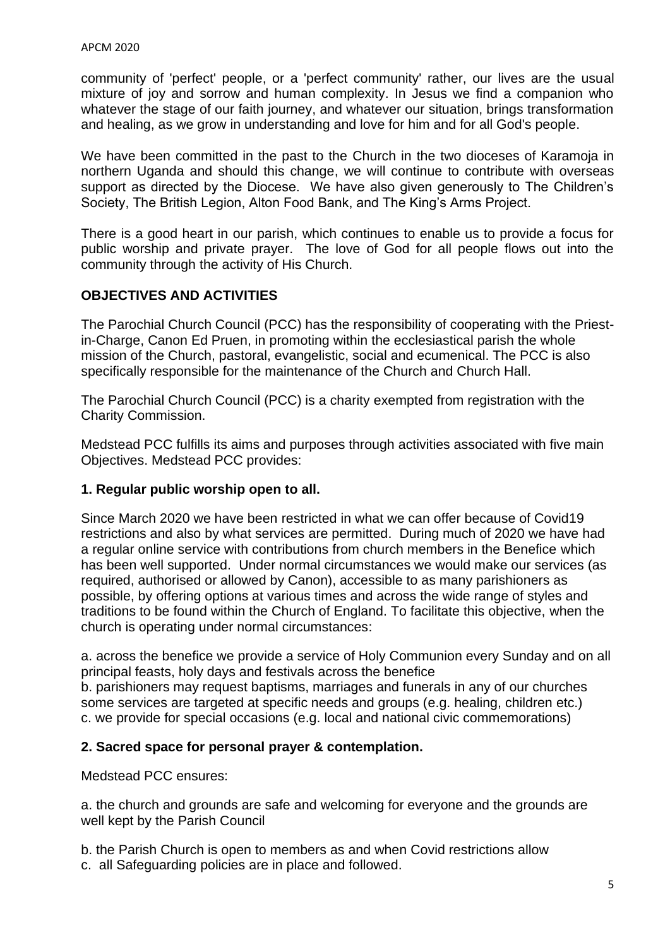community of 'perfect' people, or a 'perfect community' rather, our lives are the usual mixture of joy and sorrow and human complexity. In Jesus we find a companion who whatever the stage of our faith journey, and whatever our situation, brings transformation and healing, as we grow in understanding and love for him and for all God's people.

We have been committed in the past to the Church in the two dioceses of Karamoja in northern Uganda and should this change, we will continue to contribute with overseas support as directed by the Diocese. We have also given generously to The Children's Society, The British Legion, Alton Food Bank, and The King's Arms Project.

There is a good heart in our parish, which continues to enable us to provide a focus for public worship and private prayer. The love of God for all people flows out into the community through the activity of His Church.

### **OBJECTIVES AND ACTIVITIES**

The Parochial Church Council (PCC) has the responsibility of cooperating with the Priestin-Charge, Canon Ed Pruen, in promoting within the ecclesiastical parish the whole mission of the Church, pastoral, evangelistic, social and ecumenical. The PCC is also specifically responsible for the maintenance of the Church and Church Hall.

The Parochial Church Council (PCC) is a charity exempted from registration with the Charity Commission.

Medstead PCC fulfills its aims and purposes through activities associated with five main Objectives. Medstead PCC provides:

### **1. Regular public worship open to all.**

Since March 2020 we have been restricted in what we can offer because of Covid19 restrictions and also by what services are permitted. During much of 2020 we have had a regular online service with contributions from church members in the Benefice which has been well supported. Under normal circumstances we would make our services (as required, authorised or allowed by Canon), accessible to as many parishioners as possible, by offering options at various times and across the wide range of styles and traditions to be found within the Church of England. To facilitate this objective, when the church is operating under normal circumstances:

a. across the benefice we provide a service of Holy Communion every Sunday and on all principal feasts, holy days and festivals across the benefice b. parishioners may request baptisms, marriages and funerals in any of our churches some services are targeted at specific needs and groups (e.g. healing, children etc.) c. we provide for special occasions (e.g. local and national civic commemorations)

### **2. Sacred space for personal prayer & contemplation.**

Medstead PCC ensures:

a. the church and grounds are safe and welcoming for everyone and the grounds are well kept by the Parish Council

b. the Parish Church is open to members as and when Covid restrictions allow c. all Safeguarding policies are in place and followed.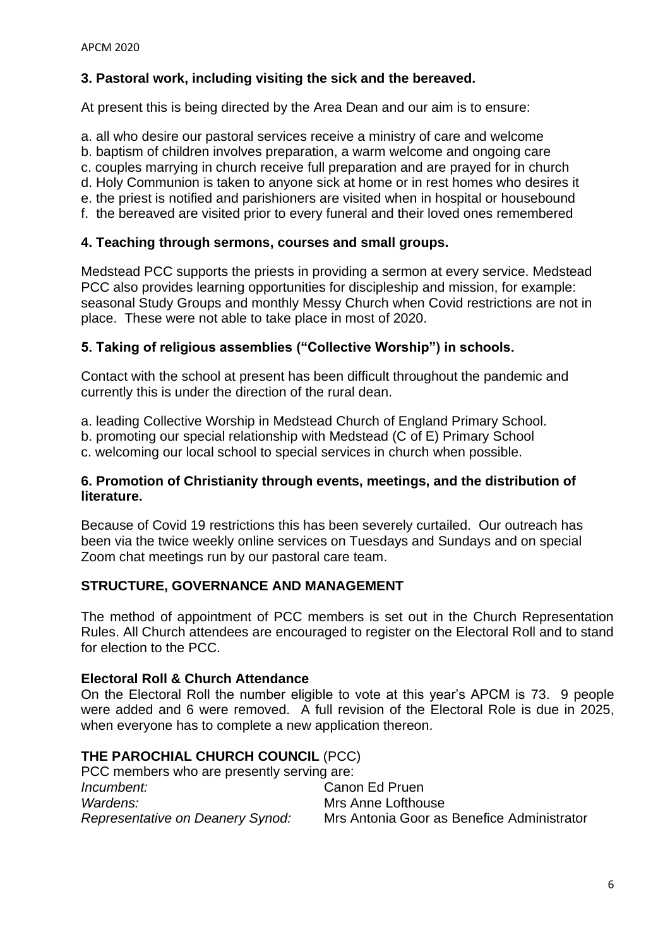### **3. Pastoral work, including visiting the sick and the bereaved.**

At present this is being directed by the Area Dean and our aim is to ensure:

a. all who desire our pastoral services receive a ministry of care and welcome

b. baptism of children involves preparation, a warm welcome and ongoing care

c. couples marrying in church receive full preparation and are prayed for in church

d. Holy Communion is taken to anyone sick at home or in rest homes who desires it

e. the priest is notified and parishioners are visited when in hospital or housebound f. the bereaved are visited prior to every funeral and their loved ones remembered

**4. Teaching through sermons, courses and small groups.** 

Medstead PCC supports the priests in providing a sermon at every service. Medstead PCC also provides learning opportunities for discipleship and mission, for example: seasonal Study Groups and monthly Messy Church when Covid restrictions are not in place. These were not able to take place in most of 2020.

### **5. Taking of religious assemblies ("Collective Worship") in schools.**

Contact with the school at present has been difficult throughout the pandemic and currently this is under the direction of the rural dean.

a. leading Collective Worship in Medstead Church of England Primary School.

b. promoting our special relationship with Medstead (C of E) Primary School

c. welcoming our local school to special services in church when possible.

### **6. Promotion of Christianity through events, meetings, and the distribution of literature.**

Because of Covid 19 restrictions this has been severely curtailed. Our outreach has been via the twice weekly online services on Tuesdays and Sundays and on special Zoom chat meetings run by our pastoral care team.

### **STRUCTURE, GOVERNANCE AND MANAGEMENT**

The method of appointment of PCC members is set out in the Church Representation Rules. All Church attendees are encouraged to register on the Electoral Roll and to stand for election to the PCC.

### **Electoral Roll & Church Attendance**

On the Electoral Roll the number eligible to vote at this year's APCM is 73. 9 people were added and 6 were removed. A full revision of the Electoral Role is due in 2025, when everyone has to complete a new application thereon.

### **THE PAROCHIAL CHURCH COUNCIL** (PCC)

| PCC members who are presently serving are: |                                            |  |  |  |  |  |
|--------------------------------------------|--------------------------------------------|--|--|--|--|--|
| <i>Incumbent:</i>                          | Canon Ed Pruen                             |  |  |  |  |  |
| Wardens:                                   | Mrs Anne Lofthouse                         |  |  |  |  |  |
| Representative on Deanery Synod:           | Mrs Antonia Goor as Benefice Administrator |  |  |  |  |  |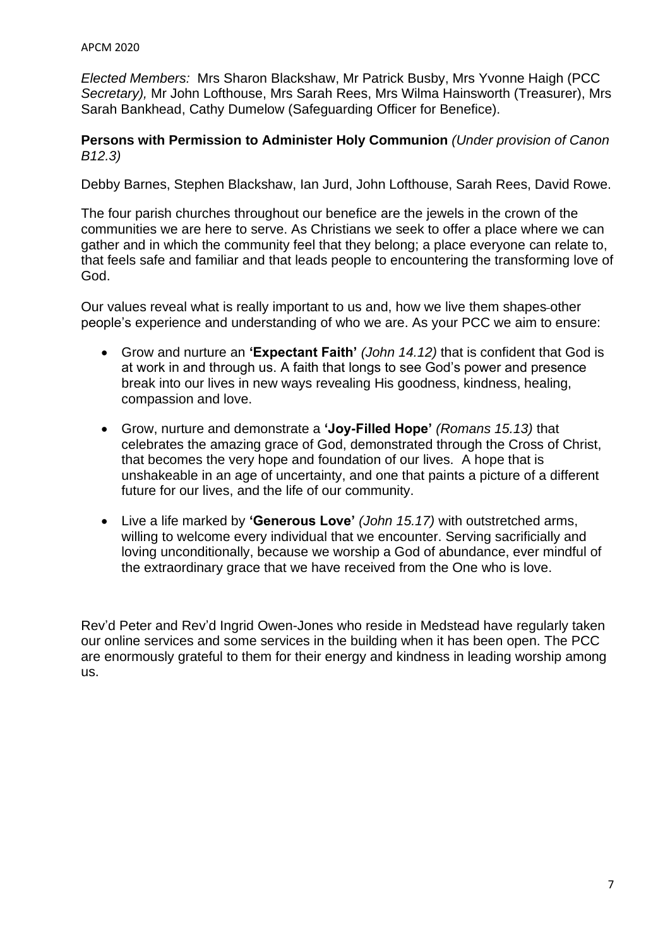*Elected Members:* Mrs Sharon Blackshaw, Mr Patrick Busby, Mrs Yvonne Haigh (PCC *Secretary),* Mr John Lofthouse, Mrs Sarah Rees, Mrs Wilma Hainsworth (Treasurer), Mrs Sarah Bankhead, Cathy Dumelow (Safeguarding Officer for Benefice).

#### **Persons with Permission to Administer Holy Communion** *(Under provision of Canon B12.3)*

Debby Barnes, Stephen Blackshaw, Ian Jurd, John Lofthouse, Sarah Rees, David Rowe.

The four parish churches throughout our benefice are the jewels in the crown of the communities we are here to serve. As Christians we seek to offer a place where we can gather and in which the community feel that they belong; a place everyone can relate to, that feels safe and familiar and that leads people to encountering the transforming love of God.

Our values reveal what is really important to us and, how we live them shapes other people's experience and understanding of who we are. As your PCC we aim to ensure:

- Grow and nurture an **'Expectant Faith'** *(John 14.12)* that is confident that God is at work in and through us. A faith that longs to see God's power and presence break into our lives in new ways revealing His goodness, kindness, healing, compassion and love.
- Grow, nurture and demonstrate a **'Joy-Filled Hope'** *(Romans 15.13)* that celebrates the amazing grace of God, demonstrated through the Cross of Christ, that becomes the very hope and foundation of our lives. A hope that is unshakeable in an age of uncertainty, and one that paints a picture of a different future for our lives, and the life of our community.
- Live a life marked by **'Generous Love'** *(John 15.17)* with outstretched arms, willing to welcome every individual that we encounter. Serving sacrificially and loving unconditionally, because we worship a God of abundance, ever mindful of the extraordinary grace that we have received from the One who is love.

Rev'd Peter and Rev'd Ingrid Owen-Jones who reside in Medstead have regularly taken our online services and some services in the building when it has been open. The PCC are enormously grateful to them for their energy and kindness in leading worship among us.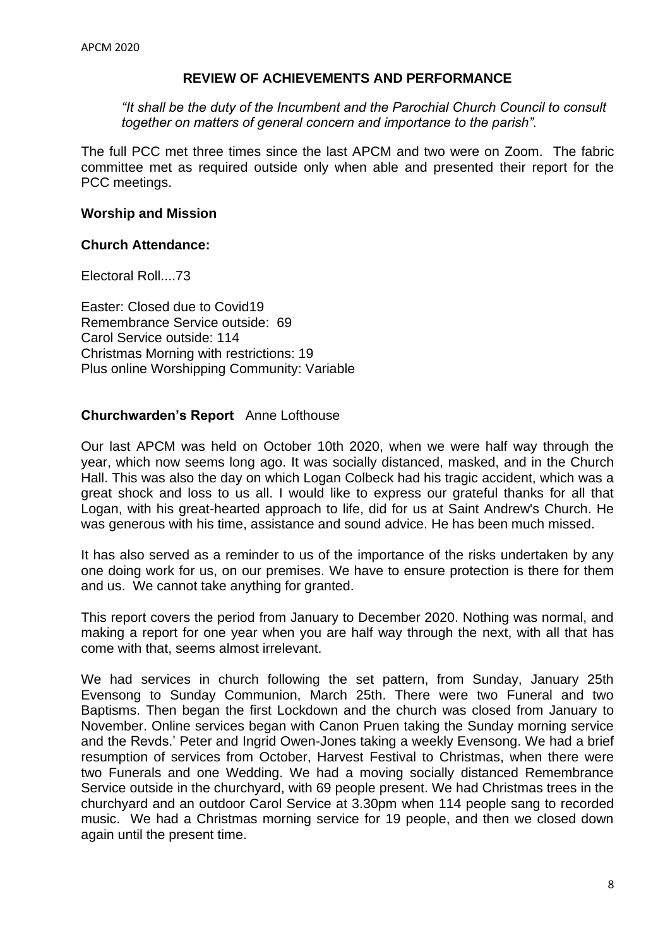#### **REVIEW OF ACHIEVEMENTS AND PERFORMANCE**

*"It shall be the duty of the Incumbent and the Parochial Church Council to consult together on matters of general concern and importance to the parish".* 

The full PCC met three times since the last APCM and two were on Zoom. The fabric committee met as required outside only when able and presented their report for the PCC meetings.

#### **Worship and Mission**

#### **Church Attendance:**

Electoral Roll....73

Easter: Closed due to Covid19 Remembrance Service outside: 69 Carol Service outside: 114 Christmas Morning with restrictions: 19 Plus online Worshipping Community: Variable

### **Churchwarden's Report** Anne Lofthouse

Our last APCM was held on October 10th 2020, when we were half way through the year, which now seems long ago. It was socially distanced, masked, and in the Church Hall. This was also the day on which Logan Colbeck had his tragic accident, which was a great shock and loss to us all. I would like to express our grateful thanks for all that Logan, with his great-hearted approach to life, did for us at Saint Andrew's Church. He was generous with his time, assistance and sound advice. He has been much missed.

It has also served as a reminder to us of the importance of the risks undertaken by any one doing work for us, on our premises. We have to ensure protection is there for them and us. We cannot take anything for granted.

This report covers the period from January to December 2020. Nothing was normal, and making a report for one year when you are half way through the next, with all that has come with that, seems almost irrelevant.

We had services in church following the set pattern, from Sunday, January 25th Evensong to Sunday Communion, March 25th. There were two Funeral and two Baptisms. Then began the first Lockdown and the church was closed from January to November. Online services began with Canon Pruen taking the Sunday morning service and the Revds.' Peter and Ingrid Owen-Jones taking a weekly Evensong. We had a brief resumption of services from October, Harvest Festival to Christmas, when there were two Funerals and one Wedding. We had a moving socially distanced Remembrance Service outside in the churchyard, with 69 people present. We had Christmas trees in the churchyard and an outdoor Carol Service at 3.30pm when 114 people sang to recorded music. We had a Christmas morning service for 19 people, and then we closed down again until the present time.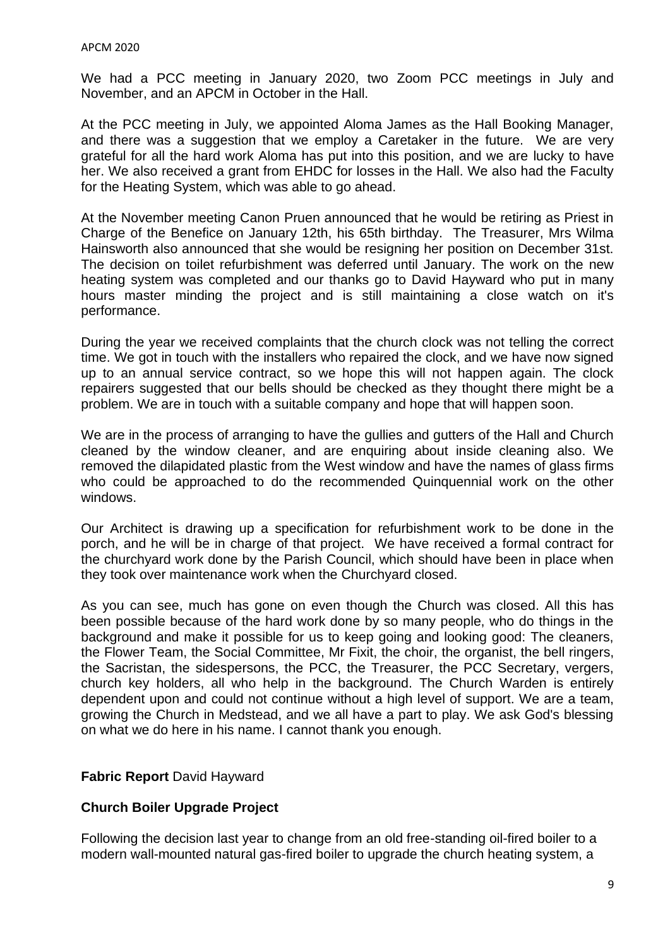We had a PCC meeting in January 2020, two Zoom PCC meetings in July and November, and an APCM in October in the Hall.

At the PCC meeting in July, we appointed Aloma James as the Hall Booking Manager, and there was a suggestion that we employ a Caretaker in the future. We are very grateful for all the hard work Aloma has put into this position, and we are lucky to have her. We also received a grant from EHDC for losses in the Hall. We also had the Faculty for the Heating System, which was able to go ahead.

At the November meeting Canon Pruen announced that he would be retiring as Priest in Charge of the Benefice on January 12th, his 65th birthday. The Treasurer, Mrs Wilma Hainsworth also announced that she would be resigning her position on December 31st. The decision on toilet refurbishment was deferred until January. The work on the new heating system was completed and our thanks go to David Hayward who put in many hours master minding the project and is still maintaining a close watch on it's performance.

During the year we received complaints that the church clock was not telling the correct time. We got in touch with the installers who repaired the clock, and we have now signed up to an annual service contract, so we hope this will not happen again. The clock repairers suggested that our bells should be checked as they thought there might be a problem. We are in touch with a suitable company and hope that will happen soon.

We are in the process of arranging to have the gullies and gutters of the Hall and Church cleaned by the window cleaner, and are enquiring about inside cleaning also. We removed the dilapidated plastic from the West window and have the names of glass firms who could be approached to do the recommended Quinquennial work on the other windows.

Our Architect is drawing up a specification for refurbishment work to be done in the porch, and he will be in charge of that project. We have received a formal contract for the churchyard work done by the Parish Council, which should have been in place when they took over maintenance work when the Churchyard closed.

As you can see, much has gone on even though the Church was closed. All this has been possible because of the hard work done by so many people, who do things in the background and make it possible for us to keep going and looking good: The cleaners, the Flower Team, the Social Committee, Mr Fixit, the choir, the organist, the bell ringers, the Sacristan, the sidespersons, the PCC, the Treasurer, the PCC Secretary, vergers, church key holders, all who help in the background. The Church Warden is entirely dependent upon and could not continue without a high level of support. We are a team, growing the Church in Medstead, and we all have a part to play. We ask God's blessing on what we do here in his name. I cannot thank you enough.

#### **Fabric Report** David Hayward

#### **Church Boiler Upgrade Project**

Following the decision last year to change from an old free-standing oil-fired boiler to a modern wall-mounted natural gas-fired boiler to upgrade the church heating system, a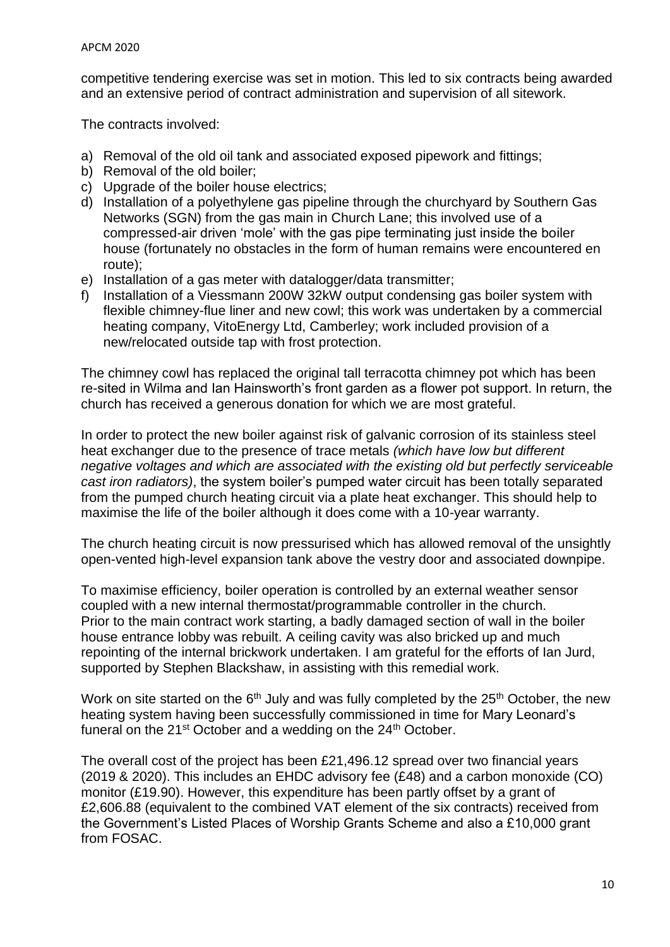competitive tendering exercise was set in motion. This led to six contracts being awarded and an extensive period of contract administration and supervision of all sitework.

The contracts involved:

- a) Removal of the old oil tank and associated exposed pipework and fittings;
- b) Removal of the old boiler;
- c) Upgrade of the boiler house electrics;
- d) Installation of a polyethylene gas pipeline through the churchyard by Southern Gas Networks (SGN) from the gas main in Church Lane; this involved use of a compressed-air driven 'mole' with the gas pipe terminating just inside the boiler house (fortunately no obstacles in the form of human remains were encountered en route);
- e) Installation of a gas meter with datalogger/data transmitter;
- f) Installation of a Viessmann 200W 32kW output condensing gas boiler system with flexible chimney-flue liner and new cowl; this work was undertaken by a commercial heating company, VitoEnergy Ltd, Camberley; work included provision of a new/relocated outside tap with frost protection.

The chimney cowl has replaced the original tall terracotta chimney pot which has been re-sited in Wilma and Ian Hainsworth's front garden as a flower pot support. In return, the church has received a generous donation for which we are most grateful.

In order to protect the new boiler against risk of galvanic corrosion of its stainless steel heat exchanger due to the presence of trace metals *(which have low but different negative voltages and which are associated with the existing old but perfectly serviceable cast iron radiators)*, the system boiler's pumped water circuit has been totally separated from the pumped church heating circuit via a plate heat exchanger. This should help to maximise the life of the boiler although it does come with a 10-year warranty.

The church heating circuit is now pressurised which has allowed removal of the unsightly open-vented high-level expansion tank above the vestry door and associated downpipe.

To maximise efficiency, boiler operation is controlled by an external weather sensor coupled with a new internal thermostat/programmable controller in the church. Prior to the main contract work starting, a badly damaged section of wall in the boiler house entrance lobby was rebuilt. A ceiling cavity was also bricked up and much repointing of the internal brickwork undertaken. I am grateful for the efforts of Ian Jurd, supported by Stephen Blackshaw, in assisting with this remedial work.

Work on site started on the 6<sup>th</sup> July and was fully completed by the 25<sup>th</sup> October, the new heating system having been successfully commissioned in time for Mary Leonard's funeral on the  $21^{st}$  October and a wedding on the  $24^{th}$  October.

The overall cost of the project has been £21,496.12 spread over two financial years (2019 & 2020). This includes an EHDC advisory fee (£48) and a carbon monoxide (CO) monitor (£19.90). However, this expenditure has been partly offset by a grant of £2,606.88 (equivalent to the combined VAT element of the six contracts) received from the Government's Listed Places of Worship Grants Scheme and also a £10,000 grant from FOSAC.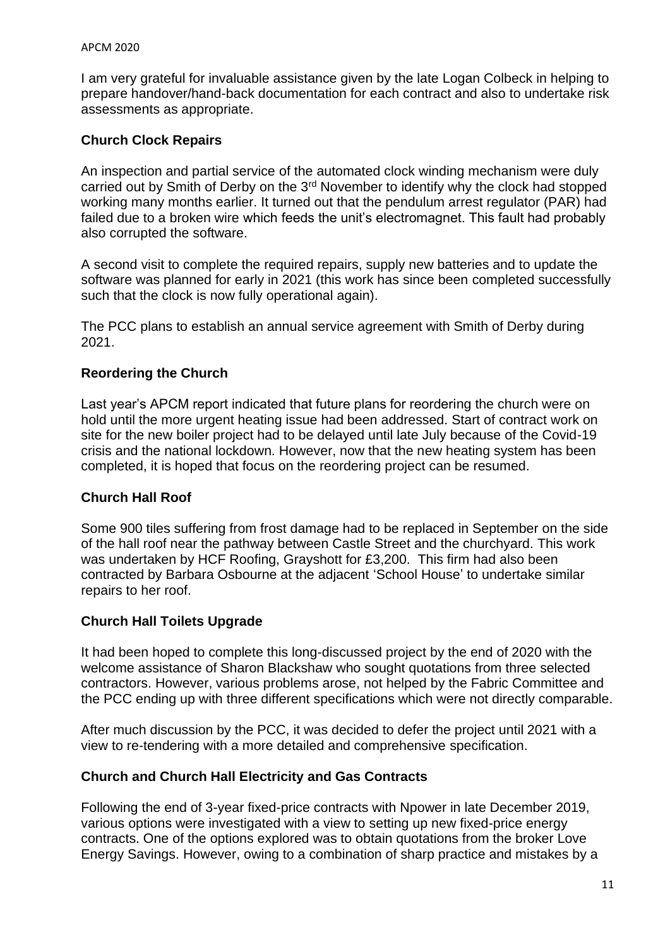I am very grateful for invaluable assistance given by the late Logan Colbeck in helping to prepare handover/hand-back documentation for each contract and also to undertake risk assessments as appropriate.

### **Church Clock Repairs**

An inspection and partial service of the automated clock winding mechanism were duly carried out by Smith of Derby on the 3rd November to identify why the clock had stopped working many months earlier. It turned out that the pendulum arrest regulator (PAR) had failed due to a broken wire which feeds the unit's electromagnet. This fault had probably also corrupted the software.

A second visit to complete the required repairs, supply new batteries and to update the software was planned for early in 2021 (this work has since been completed successfully such that the clock is now fully operational again).

The PCC plans to establish an annual service agreement with Smith of Derby during 2021.

### **Reordering the Church**

Last year's APCM report indicated that future plans for reordering the church were on hold until the more urgent heating issue had been addressed. Start of contract work on site for the new boiler project had to be delayed until late July because of the Covid-19 crisis and the national lockdown. However, now that the new heating system has been completed, it is hoped that focus on the reordering project can be resumed.

### **Church Hall Roof**

Some 900 tiles suffering from frost damage had to be replaced in September on the side of the hall roof near the pathway between Castle Street and the churchyard. This work was undertaken by HCF Roofing, Grayshott for £3,200. This firm had also been contracted by Barbara Osbourne at the adjacent 'School House' to undertake similar repairs to her roof.

### **Church Hall Toilets Upgrade**

It had been hoped to complete this long-discussed project by the end of 2020 with the welcome assistance of Sharon Blackshaw who sought quotations from three selected contractors. However, various problems arose, not helped by the Fabric Committee and the PCC ending up with three different specifications which were not directly comparable.

After much discussion by the PCC, it was decided to defer the project until 2021 with a view to re-tendering with a more detailed and comprehensive specification.

### **Church and Church Hall Electricity and Gas Contracts**

Following the end of 3-year fixed-price contracts with Npower in late December 2019, various options were investigated with a view to setting up new fixed-price energy contracts. One of the options explored was to obtain quotations from the broker Love Energy Savings. However, owing to a combination of sharp practice and mistakes by a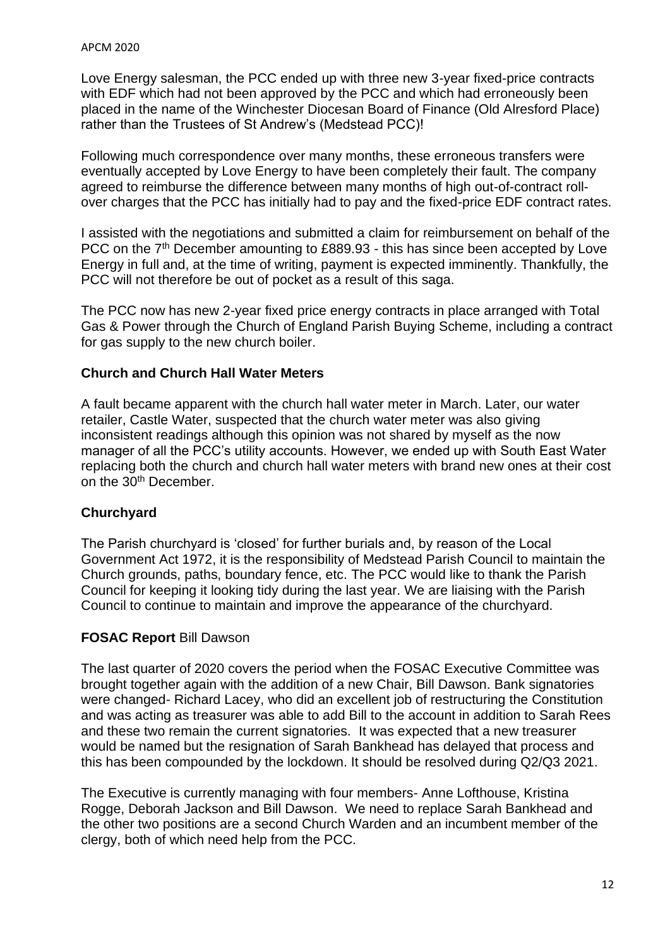Love Energy salesman, the PCC ended up with three new 3-year fixed-price contracts with EDF which had not been approved by the PCC and which had erroneously been placed in the name of the Winchester Diocesan Board of Finance (Old Alresford Place) rather than the Trustees of St Andrew's (Medstead PCC)!

Following much correspondence over many months, these erroneous transfers were eventually accepted by Love Energy to have been completely their fault. The company agreed to reimburse the difference between many months of high out-of-contract rollover charges that the PCC has initially had to pay and the fixed-price EDF contract rates.

I assisted with the negotiations and submitted a claim for reimbursement on behalf of the PCC on the 7<sup>th</sup> December amounting to £889.93 - this has since been accepted by Love Energy in full and, at the time of writing, payment is expected imminently. Thankfully, the PCC will not therefore be out of pocket as a result of this saga.

The PCC now has new 2-year fixed price energy contracts in place arranged with Total Gas & Power through the Church of England Parish Buying Scheme, including a contract for gas supply to the new church boiler.

### **Church and Church Hall Water Meters**

A fault became apparent with the church hall water meter in March. Later, our water retailer, Castle Water, suspected that the church water meter was also giving inconsistent readings although this opinion was not shared by myself as the now manager of all the PCC's utility accounts. However, we ended up with South East Water replacing both the church and church hall water meters with brand new ones at their cost on the 30<sup>th</sup> December.

### **Churchyard**

The Parish churchyard is 'closed' for further burials and, by reason of the Local Government Act 1972, it is the responsibility of Medstead Parish Council to maintain the Church grounds, paths, boundary fence, etc. The PCC would like to thank the Parish Council for keeping it looking tidy during the last year. We are liaising with the Parish Council to continue to maintain and improve the appearance of the churchyard.

### **FOSAC Report** Bill Dawson

The last quarter of 2020 covers the period when the FOSAC Executive Committee was brought together again with the addition of a new Chair, Bill Dawson. Bank signatories were changed- Richard Lacey, who did an excellent job of restructuring the Constitution and was acting as treasurer was able to add Bill to the account in addition to Sarah Rees and these two remain the current signatories. It was expected that a new treasurer would be named but the resignation of Sarah Bankhead has delayed that process and this has been compounded by the lockdown. It should be resolved during Q2/Q3 2021.

The Executive is currently managing with four members- Anne Lofthouse, Kristina Rogge, Deborah Jackson and Bill Dawson. We need to replace Sarah Bankhead and the other two positions are a second Church Warden and an incumbent member of the clergy, both of which need help from the PCC.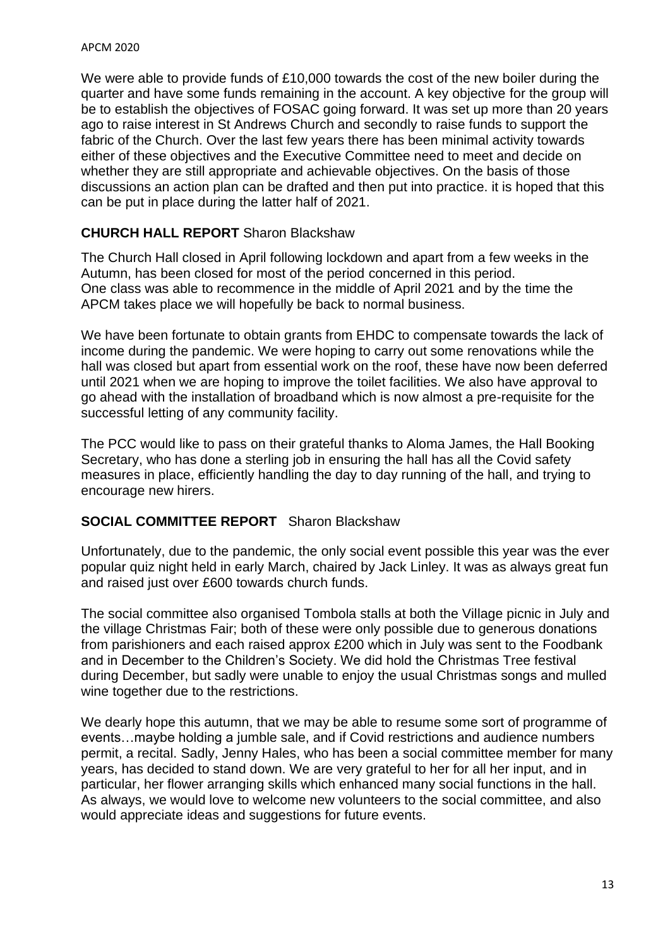We were able to provide funds of £10,000 towards the cost of the new boiler during the quarter and have some funds remaining in the account. A key objective for the group will be to establish the objectives of FOSAC going forward. It was set up more than 20 years ago to raise interest in St Andrews Church and secondly to raise funds to support the fabric of the Church. Over the last few years there has been minimal activity towards either of these objectives and the Executive Committee need to meet and decide on whether they are still appropriate and achievable objectives. On the basis of those discussions an action plan can be drafted and then put into practice. it is hoped that this can be put in place during the latter half of 2021.

### **CHURCH HALL REPORT** Sharon Blackshaw

The Church Hall closed in April following lockdown and apart from a few weeks in the Autumn, has been closed for most of the period concerned in this period. One class was able to recommence in the middle of April 2021 and by the time the APCM takes place we will hopefully be back to normal business.

We have been fortunate to obtain grants from EHDC to compensate towards the lack of income during the pandemic. We were hoping to carry out some renovations while the hall was closed but apart from essential work on the roof, these have now been deferred until 2021 when we are hoping to improve the toilet facilities. We also have approval to go ahead with the installation of broadband which is now almost a pre-requisite for the successful letting of any community facility.

The PCC would like to pass on their grateful thanks to Aloma James, the Hall Booking Secretary, who has done a sterling job in ensuring the hall has all the Covid safety measures in place, efficiently handling the day to day running of the hall, and trying to encourage new hirers.

### **SOCIAL COMMITTEE REPORT** Sharon Blackshaw

Unfortunately, due to the pandemic, the only social event possible this year was the ever popular quiz night held in early March, chaired by Jack Linley. It was as always great fun and raised just over £600 towards church funds.

The social committee also organised Tombola stalls at both the Village picnic in July and the village Christmas Fair; both of these were only possible due to generous donations from parishioners and each raised approx £200 which in July was sent to the Foodbank and in December to the Children's Society. We did hold the Christmas Tree festival during December, but sadly were unable to enjoy the usual Christmas songs and mulled wine together due to the restrictions.

We dearly hope this autumn, that we may be able to resume some sort of programme of events…maybe holding a jumble sale, and if Covid restrictions and audience numbers permit, a recital. Sadly, Jenny Hales, who has been a social committee member for many years, has decided to stand down. We are very grateful to her for all her input, and in particular, her flower arranging skills which enhanced many social functions in the hall. As always, we would love to welcome new volunteers to the social committee, and also would appreciate ideas and suggestions for future events.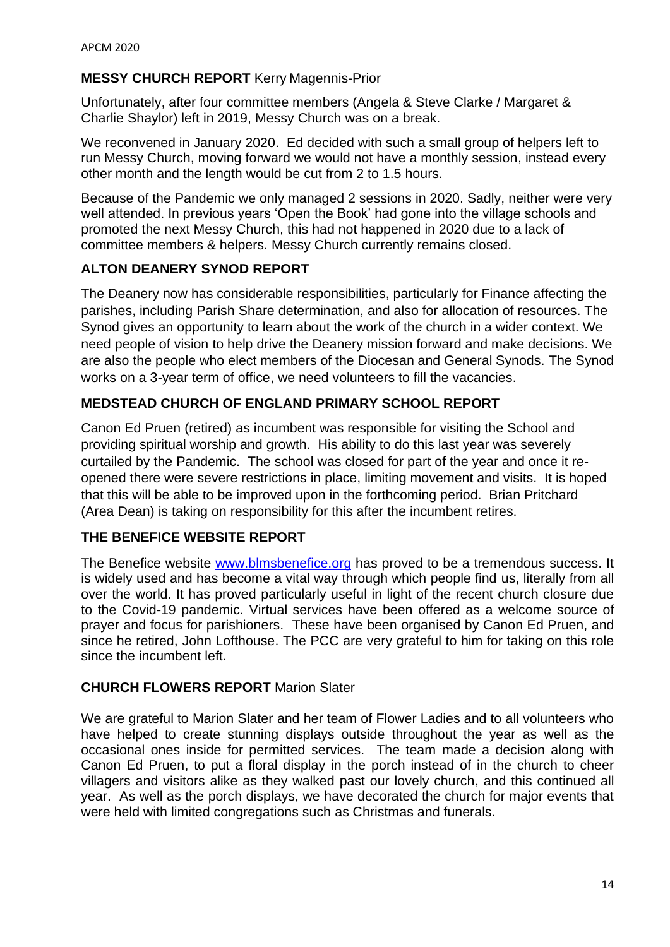### **MESSY CHURCH REPORT** Kerry Magennis-Prior

Unfortunately, after four committee members (Angela & Steve Clarke / Margaret & Charlie Shaylor) left in 2019, Messy Church was on a break.

We reconvened in January 2020. Ed decided with such a small group of helpers left to run Messy Church, moving forward we would not have a monthly session, instead every other month and the length would be cut from 2 to 1.5 hours.

Because of the Pandemic we only managed 2 sessions in 2020. Sadly, neither were very well attended. In previous years 'Open the Book' had gone into the village schools and promoted the next Messy Church, this had not happened in 2020 due to a lack of committee members & helpers. Messy Church currently remains closed.

### **ALTON DEANERY SYNOD REPORT**

The Deanery now has considerable responsibilities, particularly for Finance affecting the parishes, including Parish Share determination, and also for allocation of resources. The Synod gives an opportunity to learn about the work of the church in a wider context. We need people of vision to help drive the Deanery mission forward and make decisions. We are also the people who elect members of the Diocesan and General Synods. The Synod works on a 3-year term of office, we need volunteers to fill the vacancies.

### **MEDSTEAD CHURCH OF ENGLAND PRIMARY SCHOOL REPORT**

Canon Ed Pruen (retired) as incumbent was responsible for visiting the School and providing spiritual worship and growth. His ability to do this last year was severely curtailed by the Pandemic. The school was closed for part of the year and once it reopened there were severe restrictions in place, limiting movement and visits. It is hoped that this will be able to be improved upon in the forthcoming period. Brian Pritchard (Area Dean) is taking on responsibility for this after the incumbent retires.

### **THE BENEFICE WEBSITE REPORT**

The Benefice website [www.blmsbenefice.org](http://www.blmsbenefice.org/) has proved to be a tremendous success. It is widely used and has become a vital way through which people find us, literally from all over the world. It has proved particularly useful in light of the recent church closure due to the Covid-19 pandemic. Virtual services have been offered as a welcome source of prayer and focus for parishioners. These have been organised by Canon Ed Pruen, and since he retired, John Lofthouse. The PCC are very grateful to him for taking on this role since the incumbent left.

### **CHURCH FLOWERS REPORT** Marion Slater

We are grateful to Marion Slater and her team of Flower Ladies and to all volunteers who have helped to create stunning displays outside throughout the year as well as the occasional ones inside for permitted services. The team made a decision along with Canon Ed Pruen, to put a floral display in the porch instead of in the church to cheer villagers and visitors alike as they walked past our lovely church, and this continued all year. As well as the porch displays, we have decorated the church for major events that were held with limited congregations such as Christmas and funerals.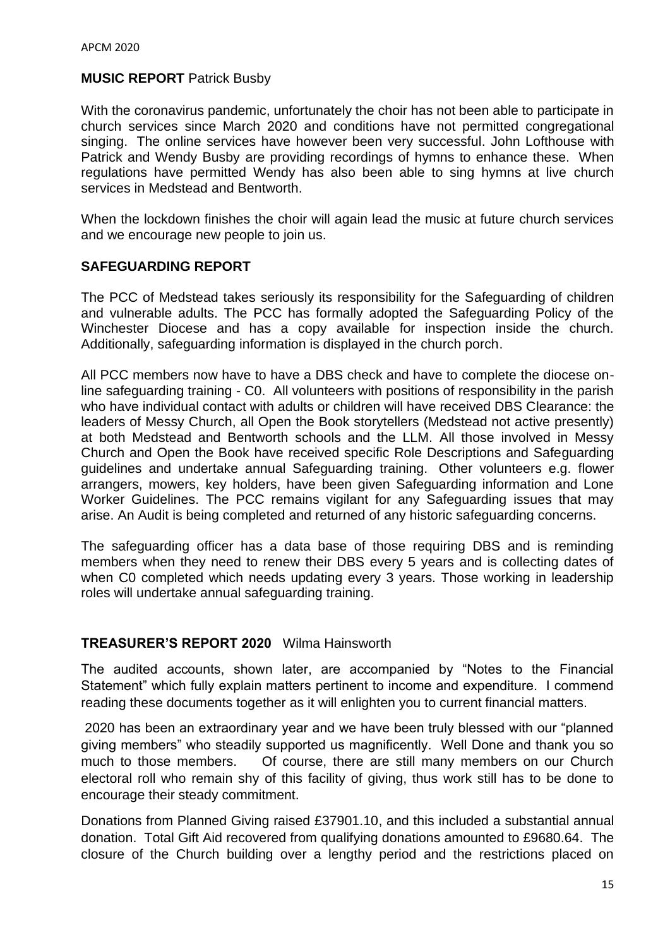#### **MUSIC REPORT Patrick Busby**

With the coronavirus pandemic, unfortunately the choir has not been able to participate in church services since March 2020 and conditions have not permitted congregational singing. The online services have however been very successful. John Lofthouse with Patrick and Wendy Busby are providing recordings of hymns to enhance these. When regulations have permitted Wendy has also been able to sing hymns at live church services in Medstead and Bentworth.

When the lockdown finishes the choir will again lead the music at future church services and we encourage new people to join us.

#### **SAFEGUARDING REPORT**

The PCC of Medstead takes seriously its responsibility for the Safeguarding of children and vulnerable adults. The PCC has formally adopted the Safeguarding Policy of the Winchester Diocese and has a copy available for inspection inside the church. Additionally, safeguarding information is displayed in the church porch.

All PCC members now have to have a DBS check and have to complete the diocese online safeguarding training - C0. All volunteers with positions of responsibility in the parish who have individual contact with adults or children will have received DBS Clearance: the leaders of Messy Church, all Open the Book storytellers (Medstead not active presently) at both Medstead and Bentworth schools and the LLM. All those involved in Messy Church and Open the Book have received specific Role Descriptions and Safeguarding guidelines and undertake annual Safeguarding training. Other volunteers e.g. flower arrangers, mowers, key holders, have been given Safeguarding information and Lone Worker Guidelines. The PCC remains vigilant for any Safeguarding issues that may arise. An Audit is being completed and returned of any historic safeguarding concerns.

The safeguarding officer has a data base of those requiring DBS and is reminding members when they need to renew their DBS every 5 years and is collecting dates of when C0 completed which needs updating every 3 years. Those working in leadership roles will undertake annual safeguarding training.

#### **TREASURER'S REPORT 2020** Wilma Hainsworth

The audited accounts, shown later, are accompanied by "Notes to the Financial Statement" which fully explain matters pertinent to income and expenditure. I commend reading these documents together as it will enlighten you to current financial matters.

2020 has been an extraordinary year and we have been truly blessed with our "planned giving members" who steadily supported us magnificently. Well Done and thank you so much to those members. Of course, there are still many members on our Church electoral roll who remain shy of this facility of giving, thus work still has to be done to encourage their steady commitment.

Donations from Planned Giving raised £37901.10, and this included a substantial annual donation. Total Gift Aid recovered from qualifying donations amounted to £9680.64. The closure of the Church building over a lengthy period and the restrictions placed on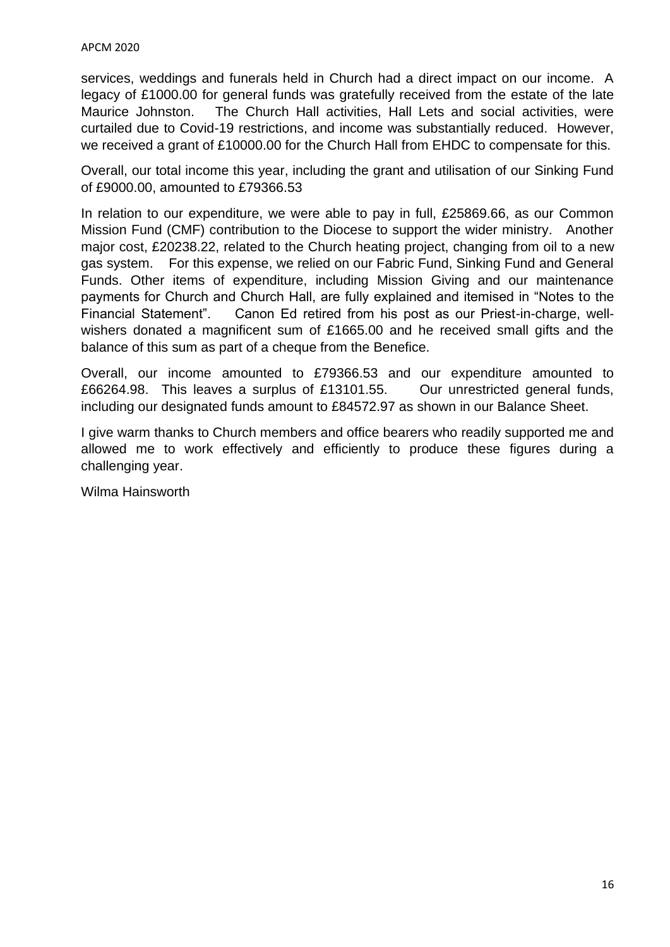services, weddings and funerals held in Church had a direct impact on our income. A legacy of £1000.00 for general funds was gratefully received from the estate of the late Maurice Johnston. The Church Hall activities, Hall Lets and social activities, were curtailed due to Covid-19 restrictions, and income was substantially reduced. However, we received a grant of £10000.00 for the Church Hall from EHDC to compensate for this.

Overall, our total income this year, including the grant and utilisation of our Sinking Fund of £9000.00, amounted to £79366.53

In relation to our expenditure, we were able to pay in full, £25869.66, as our Common Mission Fund (CMF) contribution to the Diocese to support the wider ministry. Another major cost, £20238.22, related to the Church heating project, changing from oil to a new gas system. For this expense, we relied on our Fabric Fund, Sinking Fund and General Funds. Other items of expenditure, including Mission Giving and our maintenance payments for Church and Church Hall, are fully explained and itemised in "Notes to the Financial Statement". Canon Ed retired from his post as our Priest-in-charge, wellwishers donated a magnificent sum of £1665.00 and he received small gifts and the balance of this sum as part of a cheque from the Benefice.

Overall, our income amounted to £79366.53 and our expenditure amounted to £66264.98. This leaves a surplus of £13101.55. Our unrestricted general funds, including our designated funds amount to £84572.97 as shown in our Balance Sheet.

I give warm thanks to Church members and office bearers who readily supported me and allowed me to work effectively and efficiently to produce these figures during a challenging year.

Wilma Hainsworth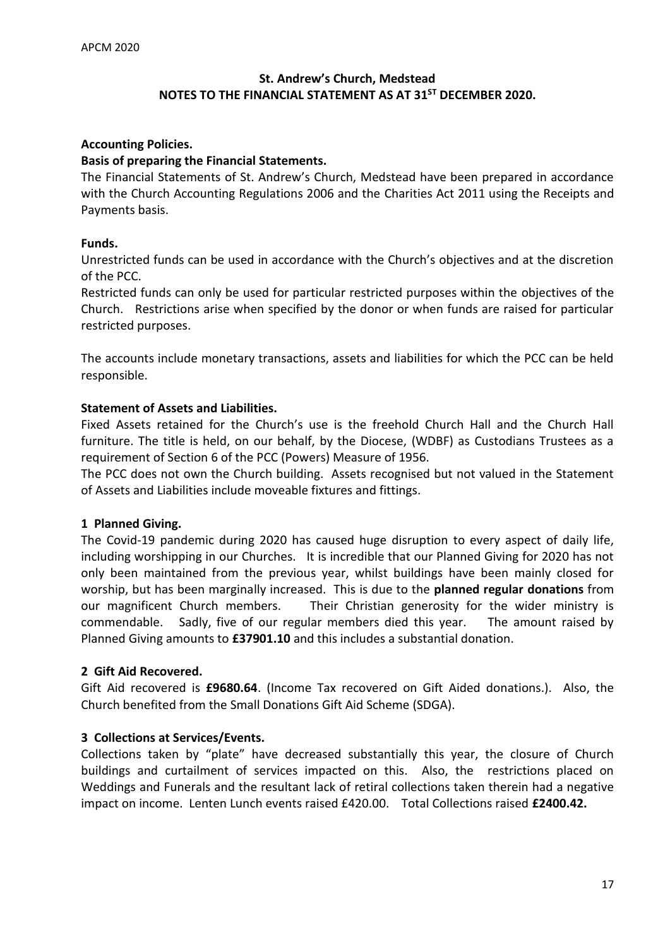### **St. Andrew's Church, Medstead NOTES TO THE FINANCIAL STATEMENT AS AT 31ST DECEMBER 2020.**

#### **Accounting Policies.**

#### **Basis of preparing the Financial Statements.**

The Financial Statements of St. Andrew's Church, Medstead have been prepared in accordance with the Church Accounting Regulations 2006 and the Charities Act 2011 using the Receipts and Payments basis.

#### **Funds.**

Unrestricted funds can be used in accordance with the Church's objectives and at the discretion of the PCC.

Restricted funds can only be used for particular restricted purposes within the objectives of the Church. Restrictions arise when specified by the donor or when funds are raised for particular restricted purposes.

The accounts include monetary transactions, assets and liabilities for which the PCC can be held responsible.

#### **Statement of Assets and Liabilities.**

Fixed Assets retained for the Church's use is the freehold Church Hall and the Church Hall furniture. The title is held, on our behalf, by the Diocese, (WDBF) as Custodians Trustees as a requirement of Section 6 of the PCC (Powers) Measure of 1956.

The PCC does not own the Church building. Assets recognised but not valued in the Statement of Assets and Liabilities include moveable fixtures and fittings.

#### **1 Planned Giving.**

The Covid-19 pandemic during 2020 has caused huge disruption to every aspect of daily life, including worshipping in our Churches. It is incredible that our Planned Giving for 2020 has not only been maintained from the previous year, whilst buildings have been mainly closed for worship, but has been marginally increased. This is due to the **planned regular donations** from our magnificent Church members. Their Christian generosity for the wider ministry is commendable. Sadly, five of our regular members died this year. The amount raised by Planned Giving amounts to **£37901.10** and this includes a substantial donation.

#### **2 Gift Aid Recovered.**

Gift Aid recovered is **£9680.64**. (Income Tax recovered on Gift Aided donations.). Also, the Church benefited from the Small Donations Gift Aid Scheme (SDGA).

#### **3 Collections at Services/Events.**

Collections taken by "plate" have decreased substantially this year, the closure of Church buildings and curtailment of services impacted on this. Also, the restrictions placed on Weddings and Funerals and the resultant lack of retiral collections taken therein had a negative impact on income. Lenten Lunch events raised £420.00. Total Collections raised **£2400.42.**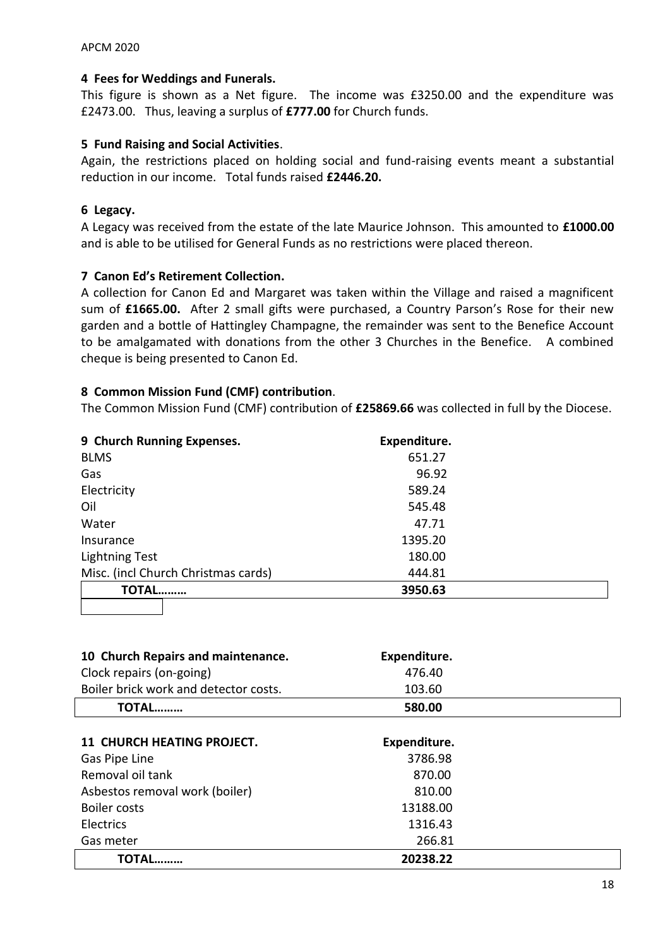#### **4 Fees for Weddings and Funerals.**

This figure is shown as a Net figure. The income was £3250.00 and the expenditure was £2473.00. Thus, leaving a surplus of **£777.00** for Church funds.

#### **5 Fund Raising and Social Activities**.

Again, the restrictions placed on holding social and fund-raising events meant a substantial reduction in our income. Total funds raised **£2446.20.**

#### **6 Legacy.**

A Legacy was received from the estate of the late Maurice Johnson. This amounted to **£1000.00** and is able to be utilised for General Funds as no restrictions were placed thereon.

#### **7 Canon Ed's Retirement Collection.**

A collection for Canon Ed and Margaret was taken within the Village and raised a magnificent sum of **£1665.00.** After 2 small gifts were purchased, a Country Parson's Rose for their new garden and a bottle of Hattingley Champagne, the remainder was sent to the Benefice Account to be amalgamated with donations from the other 3 Churches in the Benefice. A combined cheque is being presented to Canon Ed.

#### **8 Common Mission Fund (CMF) contribution**.

The Common Mission Fund (CMF) contribution of **£25869.66** was collected in full by the Diocese.

| 9 Church Running Expenses.          | Expenditure. |  |  |  |  |
|-------------------------------------|--------------|--|--|--|--|
| <b>BLMS</b>                         | 651.27       |  |  |  |  |
| Gas                                 | 96.92        |  |  |  |  |
| Electricity                         | 589.24       |  |  |  |  |
| Oil                                 | 545.48       |  |  |  |  |
| Water                               | 47.71        |  |  |  |  |
| Insurance                           | 1395.20      |  |  |  |  |
| <b>Lightning Test</b>               | 180.00       |  |  |  |  |
| Misc. (incl Church Christmas cards) | 444.81       |  |  |  |  |
| TOTAL                               | 3950.63      |  |  |  |  |
|                                     |              |  |  |  |  |

| 10 Church Repairs and maintenance.    | Expenditure. |  |
|---------------------------------------|--------------|--|
| Clock repairs (on-going)              | 476.40       |  |
| Boiler brick work and detector costs. | 103.60       |  |
| TOTAL                                 | 580.00       |  |

| <b>11 CHURCH HEATING PROJECT.</b> | Expenditure. |  |
|-----------------------------------|--------------|--|
| Gas Pipe Line                     | 3786.98      |  |
| Removal oil tank                  | 870.00       |  |
| Asbestos removal work (boiler)    | 810.00       |  |
| <b>Boiler costs</b>               | 13188.00     |  |
| Electrics                         | 1316.43      |  |
| Gas meter                         | 266.81       |  |
| <b>TOTAL</b>                      | 20238.22     |  |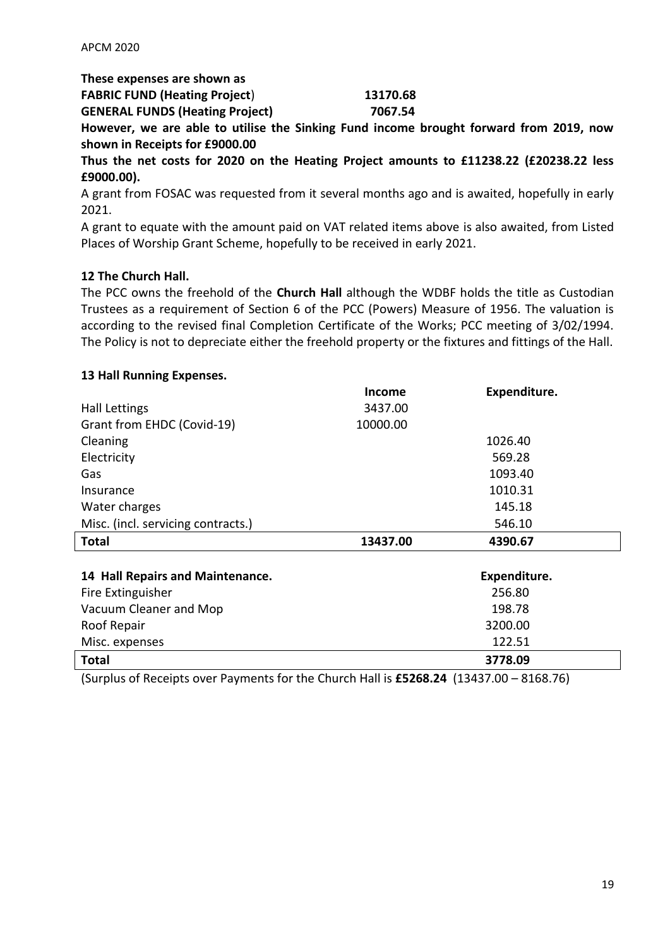**These expenses are shown as**

| <b>FABRIC FUND (Heating Project)</b>   | 13170.68 |
|----------------------------------------|----------|
| <b>GENERAL FUNDS (Heating Project)</b> | 7067.54  |
|                                        |          |

**However, we are able to utilise the Sinking Fund income brought forward from 2019, now shown in Receipts for £9000.00**

**Thus the net costs for 2020 on the Heating Project amounts to £11238.22 (£20238.22 less £9000.00).**

A grant from FOSAC was requested from it several months ago and is awaited, hopefully in early 2021.

A grant to equate with the amount paid on VAT related items above is also awaited, from Listed Places of Worship Grant Scheme, hopefully to be received in early 2021.

### **12 The Church Hall.**

The PCC owns the freehold of the **Church Hall** although the WDBF holds the title as Custodian Trustees as a requirement of Section 6 of the PCC (Powers) Measure of 1956. The valuation is according to the revised final Completion Certificate of the Works; PCC meeting of 3/02/1994. The Policy is not to depreciate either the freehold property or the fixtures and fittings of the Hall.

#### **13 Hall Running Expenses.**

|                                    | Income   | Expenditure. |  |
|------------------------------------|----------|--------------|--|
| <b>Hall Lettings</b>               | 3437.00  |              |  |
| Grant from EHDC (Covid-19)         | 10000.00 |              |  |
| Cleaning                           |          | 1026.40      |  |
| Electricity                        |          | 569.28       |  |
| Gas                                |          | 1093.40      |  |
| Insurance                          |          | 1010.31      |  |
| Water charges                      |          | 145.18       |  |
| Misc. (incl. servicing contracts.) |          | 546.10       |  |
| <b>Total</b>                       | 13437.00 | 4390.67      |  |
|                                    |          |              |  |
|                                    |          |              |  |
| 14 Hall Repairs and Maintenance.   |          | Expenditure. |  |
| Fire Extinguisher                  |          | 256.80       |  |
| Vacuum Cleaner and Mop             |          | 198.78       |  |
| Roof Repair                        |          | 3200.00      |  |
| Misc. expenses                     |          | 122.51       |  |

(Surplus of Receipts over Payments for the Church Hall is **£5268.24** (13437.00 – 8168.76)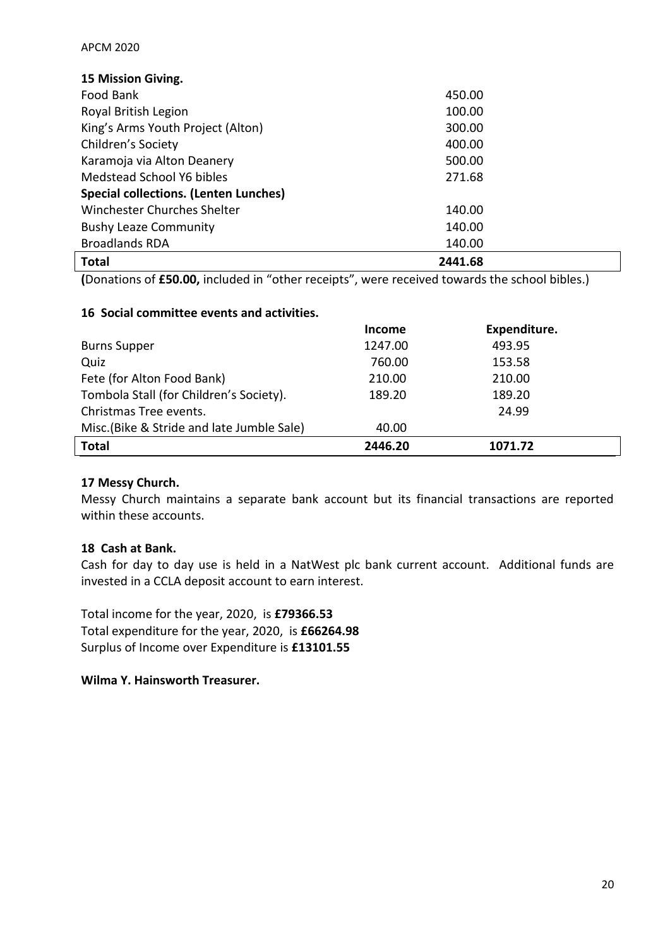| 15 Mission Giving.                           |         |  |
|----------------------------------------------|---------|--|
| Food Bank                                    | 450.00  |  |
| Royal British Legion                         | 100.00  |  |
| King's Arms Youth Project (Alton)            | 300.00  |  |
| Children's Society                           | 400.00  |  |
| Karamoja via Alton Deanery                   | 500.00  |  |
| Medstead School Y6 bibles                    | 271.68  |  |
| <b>Special collections. (Lenten Lunches)</b> |         |  |
| Winchester Churches Shelter                  | 140.00  |  |
| <b>Bushy Leaze Community</b>                 | 140.00  |  |
| <b>Broadlands RDA</b>                        | 140.00  |  |
| <b>Total</b>                                 | 2441.68 |  |

**(**Donations of **£50.00,** included in "other receipts", were received towards the school bibles.)

#### **16 Social committee events and activities.**

|                                           | <b>Income</b> | Expenditure. |  |
|-------------------------------------------|---------------|--------------|--|
| <b>Burns Supper</b>                       | 1247.00       | 493.95       |  |
| Quiz                                      | 760.00        | 153.58       |  |
| Fete (for Alton Food Bank)                | 210.00        | 210.00       |  |
| Tombola Stall (for Children's Society).   | 189.20        | 189.20       |  |
| Christmas Tree events.                    |               | 24.99        |  |
| Misc.(Bike & Stride and late Jumble Sale) | 40.00         |              |  |
| <b>Total</b>                              | 2446.20       | 1071.72      |  |

### **17 Messy Church.**

Messy Church maintains a separate bank account but its financial transactions are reported within these accounts.

### **18 Cash at Bank.**

Cash for day to day use is held in a NatWest plc bank current account. Additional funds are invested in a CCLA deposit account to earn interest.

Total income for the year, 2020, is **£79366.53** Total expenditure for the year, 2020, is **£66264.98** Surplus of Income over Expenditure is **£13101.55**

#### **Wilma Y. Hainsworth Treasurer.**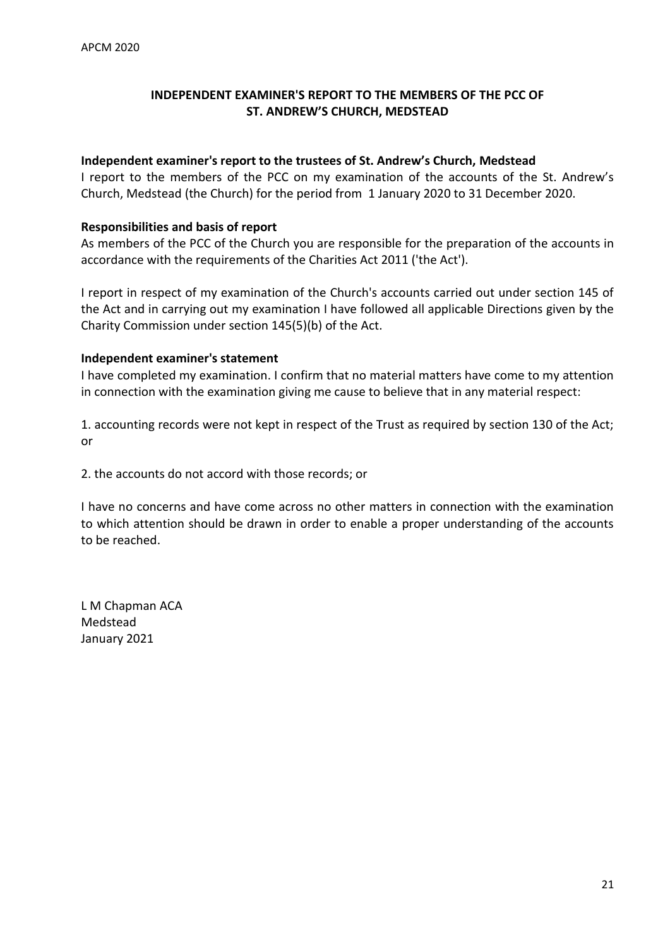### **INDEPENDENT EXAMINER'S REPORT TO THE MEMBERS OF THE PCC OF ST. ANDREW'S CHURCH, MEDSTEAD**

#### **Independent examiner's report to the trustees of St. Andrew's Church, Medstead**

I report to the members of the PCC on my examination of the accounts of the St. Andrew's Church, Medstead (the Church) for the period from 1 January 2020 to 31 December 2020.

#### **Responsibilities and basis of report**

As members of the PCC of the Church you are responsible for the preparation of the accounts in accordance with the requirements of the Charities Act 2011 ('the Act').

I report in respect of my examination of the Church's accounts carried out under section 145 of the Act and in carrying out my examination I have followed all applicable Directions given by the Charity Commission under section 145(5)(b) of the Act.

#### **Independent examiner's statement**

I have completed my examination. I confirm that no material matters have come to my attention in connection with the examination giving me cause to believe that in any material respect:

1. accounting records were not kept in respect of the Trust as required by section 130 of the Act; or

2. the accounts do not accord with those records; or

I have no concerns and have come across no other matters in connection with the examination to which attention should be drawn in order to enable a proper understanding of the accounts to be reached.

L M Chapman ACA Medstead January 2021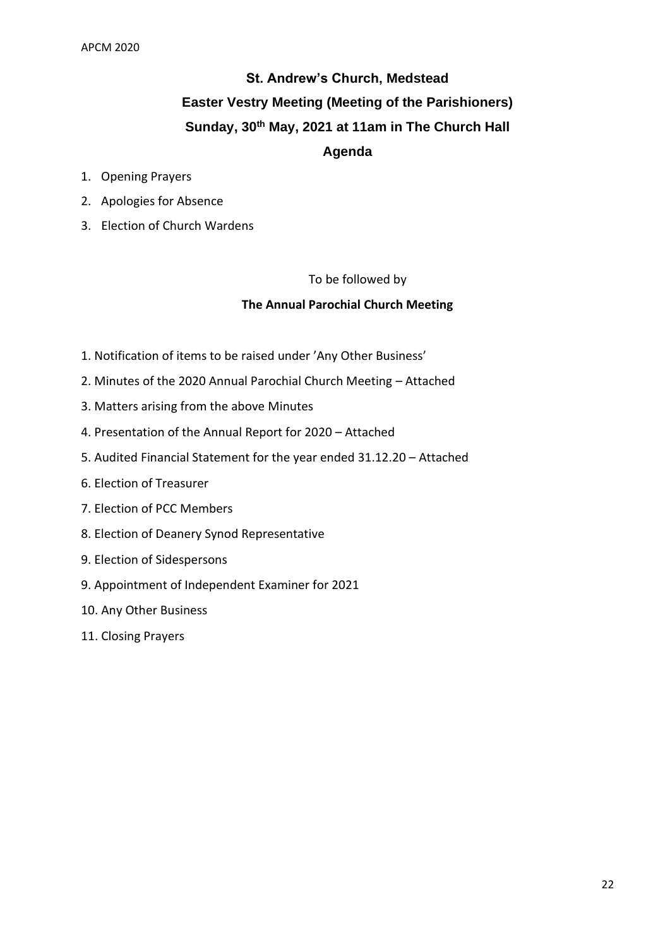## **St. Andrew's Church, Medstead Easter Vestry Meeting (Meeting of the Parishioners) Sunday, 30th May, 2021 at 11am in The Church Hall Agenda**

- 1. Opening Prayers
- 2. Apologies for Absence
- 3. Election of Church Wardens

#### To be followed by

#### **The Annual Parochial Church Meeting**

- 1. Notification of items to be raised under 'Any Other Business'
- 2. Minutes of the 2020 Annual Parochial Church Meeting Attached
- 3. Matters arising from the above Minutes
- 4. Presentation of the Annual Report for 2020 Attached
- 5. Audited Financial Statement for the year ended 31.12.20 Attached
- 6. Election of Treasurer
- 7. Election of PCC Members
- 8. Election of Deanery Synod Representative
- 9. Election of Sidespersons
- 9. Appointment of Independent Examiner for 2021
- 10. Any Other Business
- 11. Closing Prayers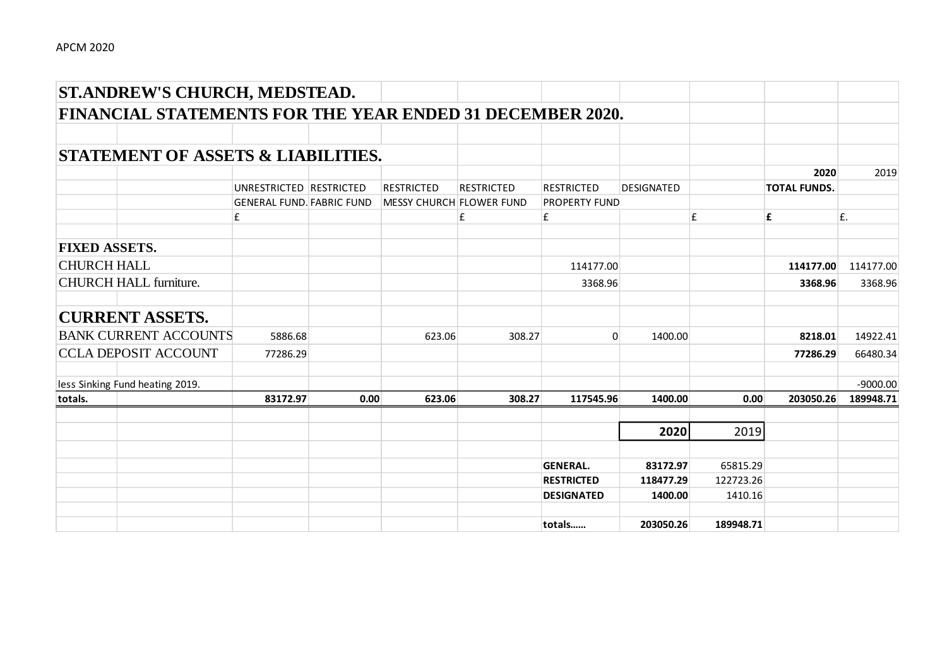|                      | ST.ANDREW'S CHURCH, MEDSTEAD.                                    |                                  |      |                          |                   |                      |                   |           |                     |            |
|----------------------|------------------------------------------------------------------|----------------------------------|------|--------------------------|-------------------|----------------------|-------------------|-----------|---------------------|------------|
|                      | <b>FINANCIAL STATEMENTS FOR THE YEAR ENDED 31 DECEMBER 2020.</b> |                                  |      |                          |                   |                      |                   |           |                     |            |
|                      |                                                                  |                                  |      |                          |                   |                      |                   |           |                     |            |
|                      | STATEMENT OF ASSETS & LIABILITIES.                               |                                  |      |                          |                   |                      |                   |           |                     |            |
|                      |                                                                  |                                  |      |                          |                   |                      |                   |           | 2020                | 2019       |
|                      |                                                                  | UNRESTRICTED RESTRICTED          |      | <b>RESTRICTED</b>        | <b>RESTRICTED</b> | <b>RESTRICTED</b>    | <b>DESIGNATED</b> |           | <b>TOTAL FUNDS.</b> |            |
|                      |                                                                  | <b>GENERAL FUND. FABRIC FUND</b> |      | MESSY CHURCH FLOWER FUND |                   | <b>PROPERTY FUND</b> |                   |           |                     |            |
|                      |                                                                  | £                                |      |                          | £                 | £                    |                   | £         | £                   | £.         |
| <b>FIXED ASSETS.</b> |                                                                  |                                  |      |                          |                   |                      |                   |           |                     |            |
| <b>CHURCH HALL</b>   |                                                                  |                                  |      |                          |                   | 114177.00            |                   |           | 114177.00           | 114177.00  |
|                      | <b>CHURCH HALL furniture.</b>                                    |                                  |      |                          |                   | 3368.96              |                   |           | 3368.96             | 3368.96    |
|                      | <b>CURRENT ASSETS.</b>                                           |                                  |      |                          |                   |                      |                   |           |                     |            |
|                      | <b>BANK CURRENT ACCOUNTS</b>                                     | 5886.68                          |      | 623.06                   | 308.27            | $\mathbf{0}$         | 1400.00           |           | 8218.01             | 14922.41   |
|                      | <b>CCLA DEPOSIT ACCOUNT</b>                                      | 77286.29                         |      |                          |                   |                      |                   |           | 77286.29            | 66480.34   |
|                      | less Sinking Fund heating 2019.                                  |                                  |      |                          |                   |                      |                   |           |                     | $-9000.00$ |
| totals.              |                                                                  | 83172.97                         | 0.00 | 623.06                   | 308.27            | 117545.96            | 1400.00           | 0.00      | 203050.26           | 189948.71  |
|                      |                                                                  |                                  |      |                          |                   |                      |                   |           |                     |            |
|                      |                                                                  |                                  |      |                          |                   |                      | 2020              | 2019      |                     |            |
|                      |                                                                  |                                  |      |                          |                   | <b>GENERAL.</b>      | 83172.97          | 65815.29  |                     |            |
|                      |                                                                  |                                  |      |                          |                   | <b>RESTRICTED</b>    | 118477.29         | 122723.26 |                     |            |
|                      |                                                                  |                                  |      |                          |                   | <b>DESIGNATED</b>    | 1400.00           | 1410.16   |                     |            |
|                      |                                                                  |                                  |      |                          |                   | totals               | 203050.26         | 189948.71 |                     |            |